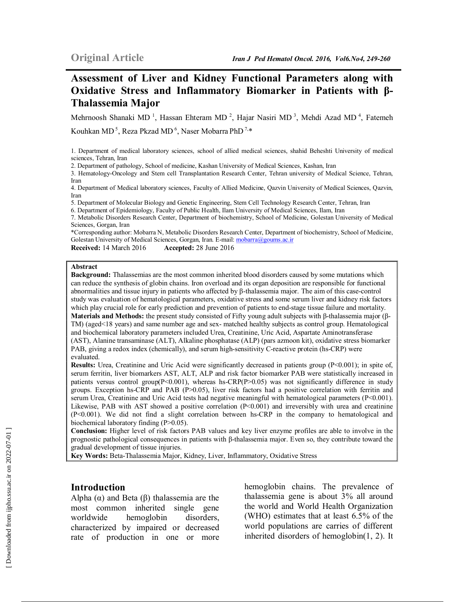# **Assessment of Liver and Kidney Functional Parameters along with Oxidative Stress and Inflammatory Biomarker in Patients with β-Thalassemia Major**

Mehrnoosh Shanaki MD<sup>1</sup>, Hassan Ehteram MD<sup>2</sup>, Hajar Nasiri MD<sup>3</sup>, Mehdi Azad MD<sup>4</sup>, Fatemeh

Kouhkan MD<sup>5</sup>, Reza Pkzad MD<sup>6</sup>, Naser Mobarra PhD<sup>7,\*</sup>

1. Department of medical laboratory sciences, school of allied medical sciences, shahid Beheshti University of medical sciences, Tehran, Iran

2. Department of pathology, School of medicine, Kashan University of Medical Sciences, Kashan, Iran

3. Hematology-Oncology and Stem cell Transplantation Research Center, Tehran university of Medical Science, Tehran, Iran

4. Department of Medical laboratory sciences, Faculty of Allied Medicine, Qazvin University of Medical Sciences, Qazvin, Iran

5. Department of Molecular Biology and Genetic Engineering, Stem Cell Technology Research Center, Tehran, Iran

6. Department of Epidemiology, Faculty of Public Health, Ilam University of Medical Sciences, Ilam, Iran

7. Metabolic Disorders Research Center, Department of biochemistry, School of Medicine, Golestan University of Medical Sciences, Gorgan, Iran

\*Corresponding author: Mobarra N, Metabolic Disorders Research Center, Department of biochemistry, School of Medicine, Golestan University of Medical Sciences, Gorgan, Iran. E-mail: mobarra@goums.ac.ir **Received:** 14 March 2016 **Accepted:** 28 June 2016

**Abstract** 

**Background:** Thalassemias are the most common inherited blood disorders caused by some mutations which can reduce the synthesis of globin chains. Iron overload and its organ deposition are responsible for functional abnormalities and tissue injury in patients who affected by β-thalassemia major. The aim of this case-control study was evaluation of hematological parameters, oxidative stress and some serum liver and kidney risk factors which play crucial role for early prediction and prevention of patients to end-stage tissue failure and mortality. **Materials and Methods:** the present study consisted of Fifty young adult subjects with β-thalassemia major (β-TM) (aged<18 years) and same number age and sex- matched healthy subjects as control group. Hematological and biochemical laboratory parameters included Urea, Creatinine, Uric Acid, Aspartate Aminotransferase (AST), Alanine transaminase (ALT), Alkaline phosphatase (ALP) (pars azmoon kit), oxidative stress biomarker PAB, giving a redox index (chemically), and serum high-sensitivity C-reactive protein (hs-CRP) were evaluated.

**Results:** Urea, Creatinine and Uric Acid were significantly decreased in patients group (P<0.001); in spite of, serum ferritin, liver biomarkers AST, ALT, ALP and risk factor biomarker PAB were statistically increased in patients versus control group(P<0.001), whereas hs-CRP(P>0.05) was not significantly difference in study groups. Exception hs-CRP and PAB (P>0.05), liver risk factors had a positive correlation with ferritin and serum Urea, Creatinine and Uric Acid tests had negative meaningful with hematological parameters (P<0.001). Likewise, PAB with AST showed a positive correlation  $(P<0.001)$  and irreversibly with urea and creatinine (P<0.001). We did not find a slight correlation between hs-CRP in the company to hematological and biochemical laboratory finding (P>0.05).

**Conclusion:** Higher level of risk factors PAB values and key liver enzyme profiles are able to involve in the prognostic pathological consequences in patients with β-thalassemia major. Even so, they contribute toward the gradual development of tissue injuries.

**Key Words:** Beta-Thalassemia Major, Kidney, Liver, Inflammatory, Oxidative Stress

### **Introduction**

Alpha  $(α)$  and Beta  $(β)$  thalassemia are the most common inherited single gene worldwide hemoglobin disorders, characterized by impaired or decreased rate of production in one or more hemoglobin chains. The prevalence of thalassemia gene is about 3% all around the world and World Health Organization (WHO) estimates that at least 6.5% of the world populations are carries of different inherited disorders of hemoglobin(1, 2). It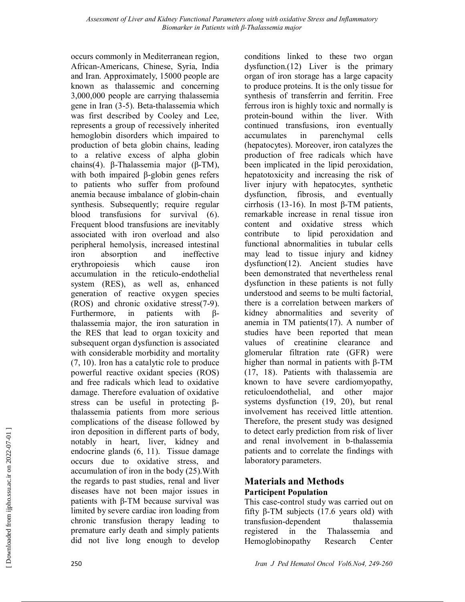occurs commonly in Mediterranean region, African-Americans, Chinese, Syria, India and Iran. Approximately, 15000 people are known as thalassemic and concerning 3,000,000 people are carrying thalassemia gene in Iran (3-5). Beta-thalassemia which was first described by Cooley and Lee, represents a group of recessively inherited hemoglobin disorders which impaired to production of beta globin chains, leading to a relative excess of alpha globin chains(4). β-Thalassemia major (β-TM), with both impaired β-globin genes refers to patients who suffer from profound anemia because imbalance of globin-chain synthesis. Subsequently; require regular blood transfusions for survival (6). Frequent blood transfusions are inevitably associated with iron overload and also peripheral hemolysis, increased intestinal iron absorption and ineffective erythropoiesis which cause iron accumulation in the reticulo-endothelial system (RES), as well as, enhanced generation of reactive oxygen species (ROS) and chronic oxidative stress(7-9). Furthermore, in patients with βthalassemia major, the iron saturation in the RES that lead to organ toxicity and subsequent organ dysfunction is associated with considerable morbidity and mortality (7, 10). Iron has a catalytic role to produce powerful reactive oxidant species (ROS) and free radicals which lead to oxidative damage. Therefore evaluation of oxidative stress can be useful in protecting βthalassemia patients from more serious complications of the disease followed by iron deposition in different parts of body, notably in heart, liver, kidney and endocrine glands (6, 11). Tissue damage occurs due to oxidative stress, and accumulation of iron in the body (25).With the regards to past studies, renal and liver diseases have not been major issues in patients with β-TM because survival was limited by severe cardiac iron loading from chronic transfusion therapy leading to premature early death and simply patients did not live long enough to develop

conditions linked to these two organ dysfunction.(12) Liver is the primary organ of iron storage has a large capacity to produce proteins. It is the only tissue for synthesis of transferrin and ferritin. Free ferrous iron is highly toxic and normally is protein-bound within the liver. With continued transfusions, iron eventually accumulates in parenchymal cells (hepatocytes). Moreover, iron catalyzes the production of free radicals which have been implicated in the lipid peroxidation, hepatotoxicity and increasing the risk of liver injury with hepatocytes, synthetic dysfunction, fibrosis, and eventually cirrhosis (13-16). In most β-TM patients, remarkable increase in renal tissue iron content and oxidative stress which contribute to lipid peroxidation and functional abnormalities in tubular cells may lead to tissue injury and kidney dysfunction(12). Ancient studies have been demonstrated that nevertheless renal dysfunction in these patients is not fully understood and seems to be multi factorial, there is a correlation between markers of kidney abnormalities and severity of anemia in TM patients(17). A number of studies have been reported that mean values of creatinine clearance and glomerular filtration rate (GFR) were higher than normal in patients with β-TM (17, 18). Patients with thalassemia are known to have severe cardiomyopathy, reticuloendothelial, and other major systems dysfunction (19, 20), but renal involvement has received little attention. Therefore, the present study was designed to detect early prediction from risk of liver and renal involvement in b-thalassemia patients and to correlate the findings with laboratory parameters.

### **Materials and Methods Participent Population**

This case-control study was carried out on fifty β-TM subjects (17.6 years old) with transfusion-dependent thalassemia registered in the Thalassemia and Hemoglobinopathy Research Center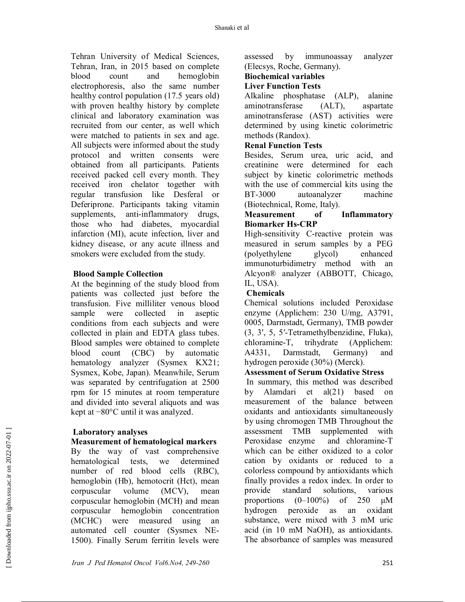Tehran University of Medical Sciences, Tehran, Iran, in 2015 based on complete blood count and hemoglobin electrophoresis, also the same number healthy control population (17.5 years old) with proven healthy history by complete clinical and laboratory examination was recruited from our center, as well which were matched to patients in sex and age. All subjects were informed about the study protocol and written consents were obtained from all participants. Patients received packed cell every month. They received iron chelator together with regular transfusion like Desferal or Deferiprone. Participants taking vitamin supplements, anti-inflammatory drugs, those who had diabetes, myocardial infarction (MI), acute infection, liver and kidney disease, or any acute illness and smokers were excluded from the study.

### **Blood Sample Collection**

At the beginning of the study blood from patients was collected just before the transfusion. Five milliliter venous blood sample were collected in aseptic conditions from each subjects and were collected in plain and EDTA glass tubes. Blood samples were obtained to complete blood count (CBC) by automatic hematology analyzer (Sysmex KX21; Sysmex, Kobe, Japan). Meanwhile, Serum was separated by centrifugation at 2500 rpm for 15 minutes at room temperature and divided into several aliquots and was kept at −80°C until it was analyzed.

### **Laboratory analyses**

### **Measurement of hematological markers**

By the way of vast comprehensive hematological tests, we determined number of red blood cells (RBC), hemoglobin (Hb), hemotocrit (Hct), mean corpuscular volume (MCV), mean corpuscular hemoglobin (MCH) and mean corpuscular hemoglobin concentration (MCHC) were measured using an automated cell counter (Sysmex NE-1500). Finally Serum ferritin levels were

assessed by immunoassay analyzer (Elecsys, Roche, Germany).

# **Biochemical variables**

### **Liver Function Tests**

Alkaline phosphatase (ALP), alanine aminotransferase (ALT), aspartate aminotransferase (AST) activities were determined by using kinetic colorimetric methods (Randox).

### **Renal Function Tests**

Besides, Serum urea, uric acid, and creatinine were determined for each subject by kinetic colorimetric methods with the use of commercial kits using the BT-3000 autoanalyzer machine (Biotechnical, Rome, Italy).

### **Measurement of Inflammatory Biomarker Hs-CRP**

High-sensitivity C-reactive protein was measured in serum samples by a PEG (polyethylene glycol) enhanced immunoturbidimetry method with an Alcyon® analyzer (ABBOTT, Chicago, IL, USA).

### **Chemicals**

Chemical solutions included Peroxidase enzyme (Applichem: 230 U/mg, A3791, 0005, Darmstadt, Germany), TMB powder (3, 3′, 5, 5′-Tetramethylbenzidine, Fluka), chloramine-T, trihydrate (Applichem: A4331, Darmstadt, Germany) and hydrogen peroxide (30%) (Merck).

### **Assessment of Serum Oxidative Stress**

 In summary, this method was described by Alamdari et al(21) based on measurement of the balance between oxidants and antioxidants simultaneously by using chromogen TMB Throughout the assessment TMB supplemented with Peroxidase enzyme and chloramine-T which can be either oxidized to a color cation by oxidants or reduced to a colorless compound by antioxidants which finally provides a redox index. In order to<br>provide standard solutions, various standard solutions, various proportions  $(0-100\%)$  of 250  $\mu$ M hydrogen peroxide as an oxidant substance, were mixed with 3 mM uric acid (in 10 mM NaOH), as antioxidants. The absorbance of samples was measured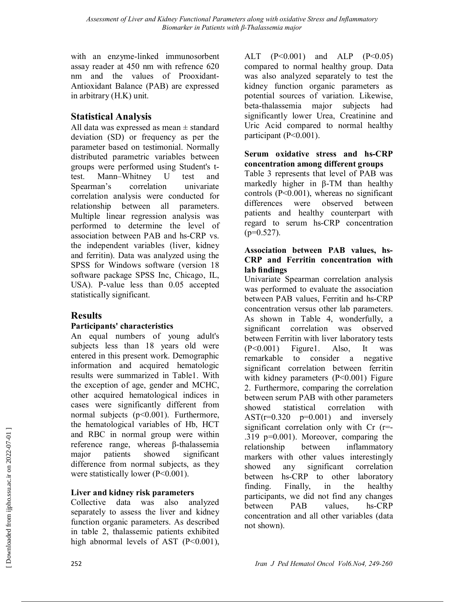with an enzyme-linked immunosorbent assay reader at 450 nm with refrence 620 nm and the values of Prooxidant-Antioxidant Balance (PAB) are expressed in arbitrary (H.K) unit.

# **Statistical Analysis**

All data was expressed as mean  $\pm$  standard deviation (SD) or frequency as per the parameter based on testimonial. Normally distributed parametric variables between groups were performed using Student's ttest. Mann–Whitney U test and Spearman's correlation univariate correlation analysis were conducted for relationship between all parameters. Multiple linear regression analysis was performed to determine the level of association between PAB and hs-CRP vs. the independent variables (liver, kidney and ferritin). Data was analyzed using the SPSS for Windows software (version 18 software package SPSS Inc, Chicago, IL, USA). P-value less than 0.05 accepted statistically significant.

# **Results**

# **Participants' characteristics**

An equal numbers of young adult's subjects less than 18 years old were entered in this present work. Demographic information and acquired hematologic results were summarized in Table1. With the exception of age, gender and MCHC, other acquired hematological indices in cases were significantly different from normal subjects (p<0.001). Furthermore, the hematological variables of Hb, HCT and RBC in normal group were within reference range, whereas β-thalassemia major patients showed significant difference from normal subjects, as they were statistically lower (P<0.001).

# **Liver and kidney risk parameters**

Collective data was also analyzed separately to assess the liver and kidney function organic parameters. As described in table 2, thalassemic patients exhibited high abnormal levels of AST  $(P<0.001)$ ,

ALT (P<0.001) and ALP (P<0.05) compared to normal healthy group. Data was also analyzed separately to test the kidney function organic parameters as potential sources of variation. Likewise, beta-thalassemia major subjects had significantly lower Urea, Creatinine and Uric Acid compared to normal healthy participant (P<0.001).

### **Serum oxidative stress and hs-CRP concentration among different groups**

Table 3 represents that level of PAB was markedly higher in β-TM than healthy controls (P<0.001), whereas no significant differences were observed between patients and healthy counterpart with regard to serum hs-CRP concentration  $(p=0.527)$ .

### **Association between PAB values, hs-CRP and Ferritin concentration with lab findings**

Univariate Spearman correlation analysis was performed to evaluate the association between PAB values, Ferritin and hs-CRP concentration versus other lab parameters. As shown in Table 4, wonderfully, a significant correlation was observed between Ferritin with liver laboratory tests (P<0.001) Figure1. Also, It was remarkable to consider a negative significant correlation between ferritin with kidney parameters (P<0.001) Figure 2. Furthermore, comparing the correlation between serum PAB with other parameters showed statistical correlation with  $AST(r=0.320 p=0.001)$  and inversely significant correlation only with Cr (r=- .319 p=0.001). Moreover, comparing the relationship between inflammatory markers with other values interestingly showed any significant correlation between hs-CRP to other laboratory finding. Finally, in the healthy participants, we did not find any changes between PAB values, hs-CRP concentration and all other variables (data not shown).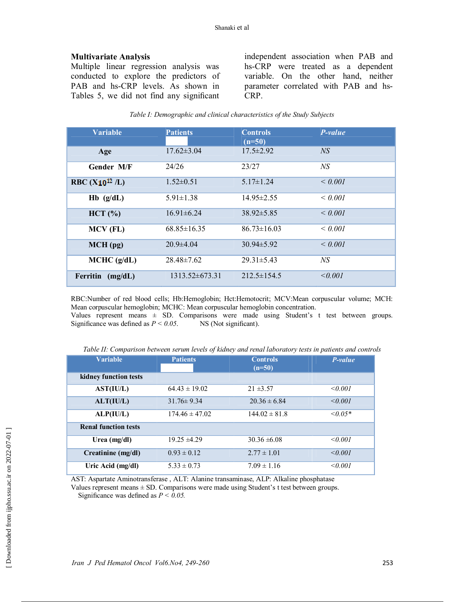### **Multivariate Analysis**

Multiple linear regression analysis was conducted to explore the predictors of PAB and hs-CRP levels. As shown in Tables 5, we did not find any significant

independent association when PAB and hs-CRP were treated as a dependent variable. On the other hand, neither parameter correlated with PAB and hs-CRP.

| <b>Variable</b>         | <b>Patients</b>     | <b>Controls</b><br>$(n=50)$ | $P-value$       |
|-------------------------|---------------------|-----------------------------|-----------------|
| Age                     | $17.62 \pm 3.04$    | $17.5 \pm 2.92$             | <sub>NS</sub>   |
| <b>Gender M/F</b>       | 24/26               | 23/27                       | NS              |
| RBC $(X_{10}^{12} / L)$ | $1.52 \pm 0.51$     | $5.17\pm1.24$               | $\leq 0.001$    |
| $Hb$ (g/dL)             | $5.91 \pm 1.38$     | $14.95 \pm 2.55$            | $\leq 0.001$    |
| HCT (%)                 | $16.91 \pm 6.24$    | $38.92 \pm 5.85$            | $\leq 0.001$    |
| MCV (FL)                | $68.85 \pm 16.35$   | $86.73 \pm 16.03$           | $\leq 0.001$    |
| $MCH$ (pg)              | $20.9\pm4.04$       | $30.94 \pm 5.92$            | $\leq 0.001$    |
| MCHC (g/dL)             | $28.48 \pm 7.62$    | $29.31 \pm 5.43$            | NS <sup>-</sup> |
| Ferritin<br>(mg/dL)     | $1313.52\pm 673.31$ | $212.5\pm 154.5$            | < 0.001         |

*Table I: Demographic and clinical characteristics of the Study Subjects* 

RBC:Number of red blood cells; Hb:Hemoglobin; Hct:Hemotocrit; MCV:Mean corpuscular volume; MCH: Mean corpuscular hemoglobin; MCHC: Mean corpuscular hemoglobin concentration. Values represent means  $\pm$  SD. Comparisons were made using Student's t test between groups. Significance was defined as  $P \le 0.05$ . NS (Not significant).

| <b>Variable</b>             | <b>Patients</b>    | <b>Controls</b><br>$(n=50)$ | P-value      |
|-----------------------------|--------------------|-----------------------------|--------------|
| kidney function tests       |                    |                             |              |
| AST(IU/L)                   | $64.43 \pm 19.02$  | $21 \pm 3.57$               | $\le 0.001$  |
| ALT(IU/L)                   | $31.76 \pm 9.34$   | $20.36 \pm 6.84$            | < 0.001      |
| ALP(IU/L)                   | $174.46 \pm 47.02$ | $144.02 \pm 81.8$           | $\leq 0.05*$ |
| <b>Renal function tests</b> |                    |                             |              |
| Urea $(mg/dl)$              | $19.25 \pm 4.29$   | $30.36 \pm 6.08$            | $\le 0.001$  |
| Creatinine (mg/dl)          | $0.93 \pm 0.12$    | $2.77 \pm 1.01$             | < 0.001      |
| Uric Acid (mg/dl)           | $5.33 \pm 0.73$    | $7.09 \pm 1.16$             | < 0.001      |

*Table II: Comparison between serum levels of kidney and renal laboratory tests in patients and controls* 

AST: Aspartate Aminotransferase , ALT: Alanine transaminase, ALP: Alkaline phosphatase

Values represent means  $\pm$  SD. Comparisons were made using Student's t test between groups. Significance was defined as *P < 0.05.*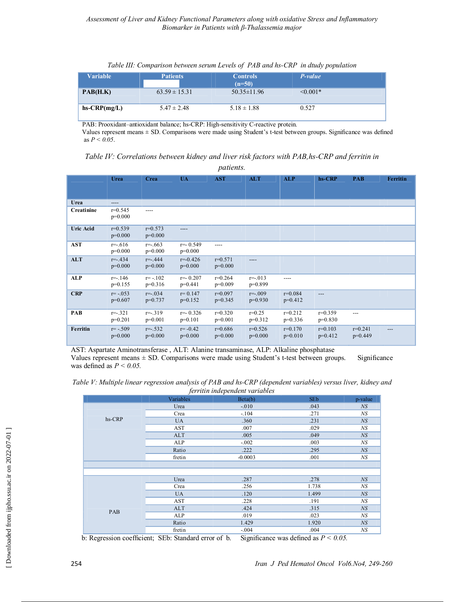| Table III: Comparison between serum Levels of PAB and hs-CRP in dtudy population |  |  |  |
|----------------------------------------------------------------------------------|--|--|--|
|----------------------------------------------------------------------------------|--|--|--|

| <b>Variable</b> | <b>Patients</b>   | <b>Controls</b><br>$(n=50)$ | P-value       |  |
|-----------------|-------------------|-----------------------------|---------------|--|
| PAB(H.K)        | $63.59 \pm 15.31$ | $50.35 \pm 11.96$           | $\leq 0.001*$ |  |
| $hs-CRP(mg/L)$  | $5.47 \pm 2.48$   | $5.18 \pm 1.88$             | 0.527         |  |

PAB: Prooxidant–antioxidant balance; hs-CRP: High-sensitivity C-reactive protein.

Values represent means ± SD. Comparisons were made using Student's t-test between groups. Significance was defined as *P < 0.05*.

| Table IV: Correlations between kidney and liver risk factors with PAB, hs-CRP and ferritin in |  |  |  |
|-----------------------------------------------------------------------------------------------|--|--|--|
|                                                                                               |  |  |  |

| <i>patients.</i> |                           |                           |                           |                        |                         |                          |                        |                        |                 |
|------------------|---------------------------|---------------------------|---------------------------|------------------------|-------------------------|--------------------------|------------------------|------------------------|-----------------|
|                  | Urea                      | Crea                      | <b>UA</b>                 | <b>AST</b>             | <b>ALT</b>              | <b>ALP</b>               | hs-CRP                 | <b>PAB</b>             | <b>Ferritin</b> |
| Urea             | $---$                     |                           |                           |                        |                         |                          |                        |                        |                 |
| Creatinine       | $r=0.545$<br>$p=0.000$    | ----                      |                           |                        |                         |                          |                        |                        |                 |
| <b>Uric Acid</b> | $r=0.539$<br>$p=0.000$    | $r=0.573$<br>$p=0.000$    | ----                      |                        |                         |                          |                        |                        |                 |
| <b>AST</b>       | $r = -616$<br>$p=0.000$   | $r = -0.663$<br>$p=0.000$ | $r = -0.549$<br>$p=0.000$ | ----                   |                         |                          |                        |                        |                 |
| <b>ALT</b>       | $r = -434$<br>$p=0.000$   | $r = -444$<br>$p=0.000$   | $r = -0.426$<br>$p=0.000$ | $r=0.571$<br>$p=0.000$ |                         |                          |                        |                        |                 |
| <b>ALP</b>       | $r = -146$<br>$p=0.155$   | $r = -102$<br>$p=0.316$   | $r = 0.207$<br>$p=0.441$  | $r=0.264$<br>$p=0.009$ | $r = -013$<br>$p=0.899$ | $---$                    |                        |                        |                 |
| CRP              | $r = -0.053$<br>$p=0.607$ | $r = -0.034$<br>$p=0.737$ | $r = 0.147$<br>$p=0.152$  | $r=0.097$<br>$p=0.345$ | $r = -009$<br>$p=0.930$ | $r = 0.084$<br>$p=0.412$ | $---$                  |                        |                 |
| PAB              | $r = -321$<br>$p=0.201$   | $r = -319$<br>$p=0.001$   | $r = -0.326$<br>$p=0.101$ | $r=0.320$<br>$p=0.001$ | $r=0.25$<br>$p=0.312$   | $r=0.212$<br>$p=0.336$   | $r=0.359$<br>$p=0.830$ | $---$                  |                 |
| Ferritin         | $r = -.509$<br>$p=0.000$  | $r = -0.532$<br>$p=0.000$ | $r = -0.42$<br>$p=0.000$  | $r=0.686$<br>$p=0.000$ | $r=0.526$<br>$p=0.000$  | $r=0.170$<br>$p=0.010$   | $r=0.103$<br>$p=0.412$ | $r=0.241$<br>$p=0.449$ | ---             |

AST: Aspartate Aminotransferase , ALT: Alanine transaminase, ALP: Alkaline phosphatase Values represent means ± SD. Comparisons were made using Student's t-test between groups. Significance was defined as *P < 0.05.* 

| Table V: Multiple linear regression analysis of PAB and hs-CRP (dependent variables) versus liver, kidney and |  |  |  |  |  |  |
|---------------------------------------------------------------------------------------------------------------|--|--|--|--|--|--|
| ferritin independent variables                                                                                |  |  |  |  |  |  |

| jerrum maepenaeni variables |            |           |            |         |  |  |
|-----------------------------|------------|-----------|------------|---------|--|--|
|                             | Variables  | Beta(b)   | <b>SEb</b> | p-value |  |  |
|                             | Urea       | $-.010$   | .043       | NS      |  |  |
|                             | Crea       | $-.104$   | .271       | NS      |  |  |
| hs-CRP                      | <b>UA</b>  | .360      | .231       | NS      |  |  |
|                             | AST        | .007      | .029       | NS      |  |  |
|                             | <b>ALT</b> | .005      | .049       | N S     |  |  |
|                             | ALP        | $-.002$   | .003       | NS      |  |  |
|                             | Ratio      | .222      | .295       | N S     |  |  |
|                             | fretin     | $-0.0003$ | .001       | NS      |  |  |
|                             |            |           |            |         |  |  |
|                             |            |           |            |         |  |  |
|                             | Urea       | .287      | .278       | N S     |  |  |
|                             | Crea       | .256      | 1.738      | NS      |  |  |
|                             | <b>UA</b>  | .120      | 1.499      | NS      |  |  |
|                             | AST        | .228      | .191       | NS      |  |  |
| PAB                         | <b>ALT</b> | .424      | .315       | N S     |  |  |
|                             | ALP        | .019      | .023       | NS      |  |  |
|                             | Ratio      | 1.429     | 1.920      | NS      |  |  |
|                             | fretin     | $-.004$   | .004       | NS      |  |  |

b: Regression coefficient; SEb: Standard error of b. Significance was defined as *P < 0.05.*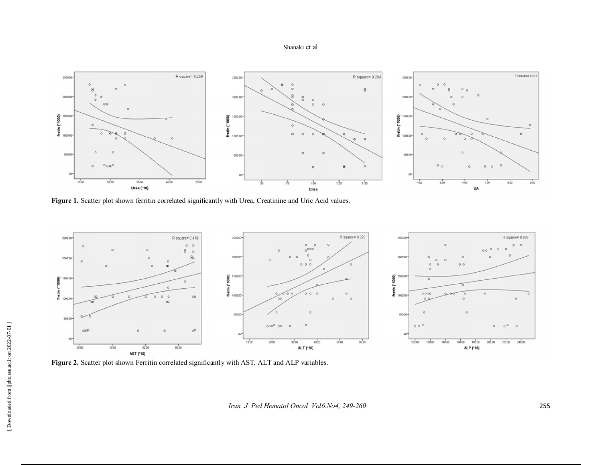#### Shanaki et al



**Figure 1.** Scatter plot shown ferritin correlated significantly with Urea, Creatinine and Uric Acid values.



Figure 2. Scatter plot shown Ferritin correlated significantly with AST, ALT and ALP variables.

*Iran J Ped Hematol Oncol Vol6.No4, 249-260* 255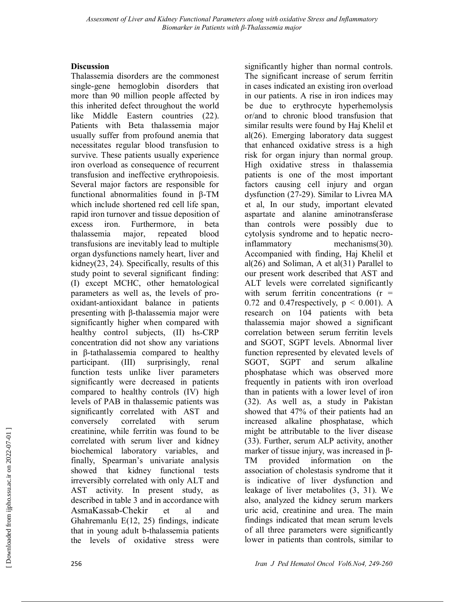### **Discussion**

Thalassemia disorders are the commonest single-gene hemoglobin disorders that more than 90 million people affected by this inherited defect throughout the world like Middle Eastern countries (22). Patients with Beta thalassemia major usually suffer from profound anemia that necessitates regular blood transfusion to survive. These patients usually experience iron overload as consequence of recurrent transfusion and ineffective erythropoiesis. Several major factors are responsible for functional abnormalities found in β-TM which include shortened red cell life span, rapid iron turnover and tissue deposition of excess iron. Furthermore, in beta thalassemia major, repeated blood transfusions are inevitably lead to multiple organ dysfunctions namely heart, liver and kidney(23, 24). Specifically, results of this study point to several significant finding: (I) except MCHC, other hematological parameters as well as, the levels of prooxidant-antioxidant balance in patients presenting with β-thalassemia major were significantly higher when compared with healthy control subjects, (II) hs-CRP concentration did not show any variations in β-tathalassemia compared to healthy participant. (III) surprisingly, renal function tests unlike liver parameters significantly were decreased in patients compared to healthy controls (IV) high levels of PAB in thalassemic patients was significantly correlated with AST and conversely correlated with serum creatinine, while ferritin was found to be correlated with serum liver and kidney biochemical laboratory variables, and finally, Spearman's univariate analysis showed that kidney functional tests irreversibly correlated with only ALT and AST activity. In present study, as described in table 3 and in accordance with AsmaKassab-Chekir et al and Ghahremanlu E(12, 25) findings, indicate that in young adult b-thalassemia patients the levels of oxidative stress were

significantly higher than normal controls. The significant increase of serum ferritin in cases indicated an existing iron overload in our patients. A rise in iron indices may be due to erythrocyte hyperhemolysis or/and to chronic blood transfusion that similar results were found by Haj Khelil et al(26). Emerging laboratory data suggest that enhanced oxidative stress is a high risk for organ injury than normal group. High oxidative stress in thalassemia patients is one of the most important factors causing cell injury and organ dysfunction (27-29). Similar to Livrea MA et al, In our study, important elevated aspartate and alanine aminotransferase than controls were possibly due to cytolysis syndrome and to hepatic necroinflammatory mechanisms(30). Accompanied with finding, Haj Khelil et al $(26)$  and Soliman, A et al $(31)$  Parallel to our present work described that AST and ALT levels were correlated significantly with serum ferritin concentrations  $(r =$ 0.72 and 0.47 respectively,  $p \leq 0.001$ ). A research on 104 patients with beta thalassemia major showed a significant correlation between serum ferritin levels and SGOT, SGPT levels. Abnormal liver function represented by elevated levels of SGOT, SGPT and serum alkaline phosphatase which was observed more frequently in patients with iron overload than in patients with a lower level of iron (32). As well as, a study in Pakistan showed that 47% of their patients had an increased alkaline phosphatase, which might be attributable to the liver disease (33). Further, serum ALP activity, another marker of tissue injury, was increased in β-TM provided information on the association of cholestasis syndrome that it is indicative of liver dysfunction and leakage of liver metabolites (3, 31). We also, analyzed the kidney serum markers uric acid, creatinine and urea. The main findings indicated that mean serum levels of all three parameters were significantly lower in patients than controls, similar to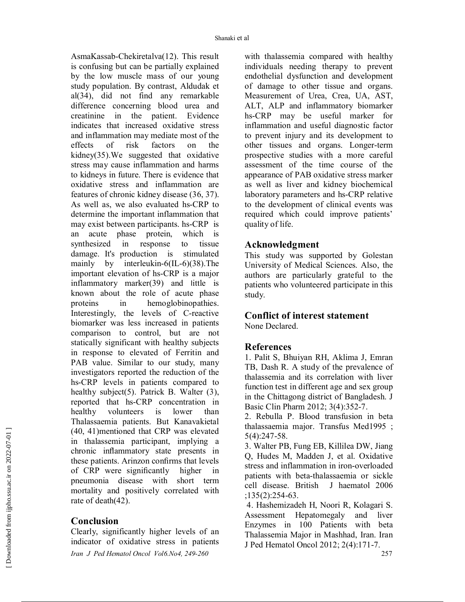AsmaKassab-Chekiretalva(12). This result is confusing but can be partially explained by the low muscle mass of our young study population. By contrast, Aldudak et al(34), did not find any remarkable difference concerning blood urea and creatinine in the patient. Evidence indicates that increased oxidative stress and inflammation may mediate most of the effects of risk factors on the kidney(35).We suggested that oxidative stress may cause inflammation and harms to kidneys in future. There is evidence that oxidative stress and inflammation are features of chronic kidney disease (36, 37). As well as, we also evaluated hs-CRP to determine the important inflammation that may exist between participants. hs-CRP is an acute phase protein, which is synthesized in response to tissue damage. It's production is stimulated mainly by interleukin-6(IL-6)(38).The important elevation of hs-CRP is a major inflammatory marker(39) and little is known about the role of acute phase proteins in hemoglobinopathies. Interestingly, the levels of C-reactive biomarker was less increased in patients comparison to control, but are not statically significant with healthy subjects in response to elevated of Ferritin and PAB value. Similar to our study, many investigators reported the reduction of the hs-CRP levels in patients compared to healthy subject(5). Patrick B. Walter (3), reported that hs-CRP concentration in healthy volunteers is lower than Thalassaemia patients. But Kanavakietal (40, 41)mentioned that CRP was elevated in thalassemia participant, implying a chronic inflammatory state presents in these patients. Arinzon confirms that levels of CRP were significantly higher in pneumonia disease with short term mortality and positively correlated with rate of death(42).

# **Conclusion**

*Iran J Ped Hematol Oncol Vol6.No4, 249-260* 257 Clearly, significantly higher levels of an indicator of oxidative stress in patients

with thalassemia compared with healthy individuals needing therapy to prevent endothelial dysfunction and development of damage to other tissue and organs. Measurement of Urea, Crea, UA, AST, ALT, ALP and inflammatory biomarker hs-CRP may be useful marker for inflammation and useful diagnostic factor to prevent injury and its development to other tissues and organs. Longer-term prospective studies with a more careful assessment of the time course of the appearance of PAB oxidative stress marker as well as liver and kidney biochemical laboratory parameters and hs-CRP relative to the development of clinical events was required which could improve patients' quality of life.

### **Acknowledgment**

This study was supported by Golestan University of Medical Sciences. Also, the authors are particularly grateful to the patients who volunteered participate in this study.

# **Conflict of interest statement**

None Declared.

# **References**

1. Palit S, Bhuiyan RH, Aklima J, Emran TB, Dash R. A study of the prevalence of thalassemia and its correlation with liver function test in different age and sex group in the Chittagong district of Bangladesh. J Basic Clin Pharm 2012; 3(4):352-7.

2. Rebulla P. Blood transfusion in beta thalassaemia major. Transfus Med1995 ; 5(4):247-58.

3. Walter PB, Fung EB, Killilea DW, Jiang Q, Hudes M, Madden J, et al. Oxidative stress and inflammation in iron-overloaded patients with beta-thalassaemia or sickle cell disease. British J haematol 2006 ;135(2):254-63.

 4. Hashemizadeh H, Noori R, Kolagari S. Assessment Hepatomegaly and liver Enzymes in 100 Patients with beta Thalassemia Major in Mashhad, Iran. Iran J Ped Hematol Oncol 2012; 2(4):171-7.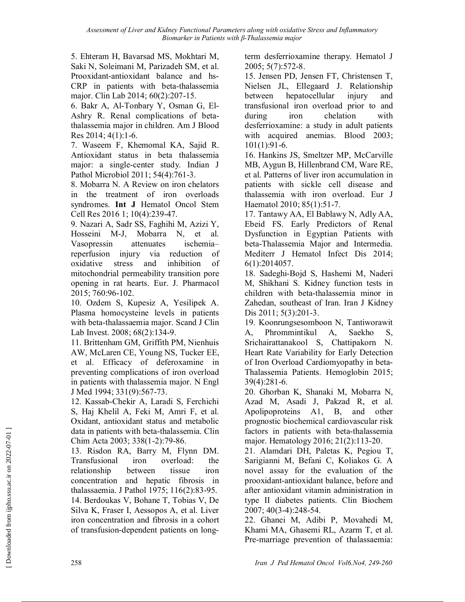*Assessment of Liver and Kidney Functional Parameters along with oxidative Stress and Inflammatory Biomarker in Patients with β-Thalassemia major* 

5. Ehteram H, Bavarsad MS, Mokhtari M, Saki N, Soleimani M, Parizadeh SM, et al. Prooxidant-antioxidant balance and hs-CRP in patients with beta-thalassemia major. Clin Lab 2014; 60(2):207-15.

6. Bakr A, Al-Tonbary Y, Osman G, El-Ashry R. Renal complications of betathalassemia major in children. Am J Blood Res 2014; 4(1):1-6.

7. Waseem F, Khemomal KA, Sajid R. Antioxidant status in beta thalassemia major: a single-center study. Indian J Pathol Microbiol 2011; 54(4):761-3.

8. Mobarra N. A Review on iron chelators in the treatment of iron overloads syndromes. **Int J** Hematol Oncol Stem Cell Res 2016 1; 10(4):239-47.

9. Nazari A, Sadr SS, Faghihi M, Azizi Y, Hosseini M-J, Mobarra N, et al. Vasopressin attenuates ischemia– reperfusion injury via reduction of oxidative stress and inhibition of mitochondrial permeability transition pore opening in rat hearts. Eur. J. Pharmacol 2015; 760:96-102.

10. Ozdem S, Kupesiz A, Yesilipek A. Plasma homocysteine levels in patients with beta-thalassaemia major. Scand J Clin Lab Invest. 2008; 68(2):134-9.

11. Brittenham GM, Griffith PM, Nienhuis AW, McLaren CE, Young NS, Tucker EE, et al. Efficacy of deferoxamine in preventing complications of iron overload in patients with thalassemia major. N Engl J Med 1994; 331(9):567-73.

12. Kassab-Chekir A, Laradi S, Ferchichi S, Haj Khelil A, Feki M, Amri F, et al. Oxidant, antioxidant status and metabolic data in patients with beta-thalassemia. Clin Chim Acta 2003; 338(1-2):79-86.

13. Risdon RA, Barry M, Flynn DM. Transfusional iron overload: the relationship between tissue iron concentration and hepatic fibrosis in thalassaemia. J Pathol 1975; 116(2):83-95. 14. Berdoukas V, Bohane T, Tobias V, De Silva K, Fraser I, Aessopos A, et al. Liver iron concentration and fibrosis in a cohort of transfusion-dependent patients on longterm desferrioxamine therapy. Hematol J 2005; 5(7):572-8.

15. Jensen PD, Jensen FT, Christensen T, Nielsen JL, Ellegaard J. Relationship between hepatocellular injury and transfusional iron overload prior to and during iron chelation with desferrioxamine: a study in adult patients with acquired anemias. Blood 2003; 101(1):91-6.

16. Hankins JS, Smeltzer MP, McCarville MB, Aygun B, Hillenbrand CM, Ware RE, et al. Patterns of liver iron accumulation in patients with sickle cell disease and thalassemia with iron overload. Eur J Haematol 2010; 85(1):51-7.

17. Tantawy AA, El Bablawy N, Adly AA, Ebeid FS. Early Predictors of Renal Dysfunction in Egyptian Patients with beta-Thalassemia Major and Intermedia. Mediterr J Hematol Infect Dis 2014; 6(1):2014057.

18. Sadeghi-Bojd S, Hashemi M, Naderi M, Shikhani S. Kidney function tests in children with beta-thalassemia minor in Zahedan, southeast of Iran. Iran J Kidney Dis 2011; 5(3):201-3.

19. Koonrungsesomboon N, Tantiworawit A, Phrommintikul A, Saekho S, Srichairattanakool S, Chattipakorn N. Heart Rate Variability for Early Detection of Iron Overload Cardiomyopathy in beta-Thalassemia Patients. Hemoglobin 2015; 39(4):281-6.

20. Ghorban K, Shanaki M, Mobarra N, Azad M, Asadi J, Pakzad R, et al. Apolipoproteins A1, B, and other prognostic biochemical cardiovascular risk factors in patients with beta-thalassemia major. Hematology 2016; 21(2):113-20.

21. Alamdari DH, Paletas K, Pegiou T, Sarigianni M, Befani C, Koliakos G. A novel assay for the evaluation of the prooxidant-antioxidant balance, before and after antioxidant vitamin administration in type II diabetes patients. Clin Biochem 2007; 40(3-4):248-54.

22. Ghanei M, Adibi P, Movahedi M, Khami MA, Ghasemi RL, Azarm T, et al. Pre-marriage prevention of thalassaemia: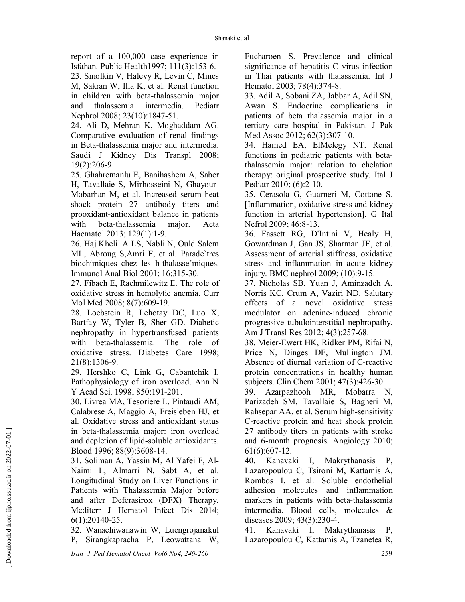report of a 100,000 case experience in Isfahan. Public Health1997; 111(3):153-6.

23. Smolkin V, Halevy R, Levin C, Mines M, Sakran W, Ilia K, et al. Renal function in children with beta-thalassemia major and thalassemia intermedia. Pediatr Nephrol 2008; 23(10):1847-51.

24. Ali D, Mehran K, Moghaddam AG. Comparative evaluation of renal findings in Beta-thalassemia major and intermedia. Saudi J Kidney Dis Transpl 2008; 19(2):206-9.

25. Ghahremanlu E, Banihashem A, Saber H, Tavallaie S, Mirhosseini N, Ghayour-Mobarhan M, et al. Increased serum heat shock protein 27 antibody titers and prooxidant-antioxidant balance in patients with beta-thalassemia major. Acta Haematol 2013; 129(1):1-9.

26. Haj Khelil A LS, Nabli N, Ould Salem ML, Abroug S,Amri F, et al. Parade`tres biochimiques chez les h-thalasse´miques. Immunol Anal Biol 2001; 16:315-30.

27. Fibach E, Rachmilewitz E. The role of oxidative stress in hemolytic anemia. Curr Mol Med 2008; 8(7):609-19.

28. Loebstein R, Lehotay DC, Luo X, Bartfay W, Tyler B, Sher GD. Diabetic nephropathy in hypertransfused patients with beta-thalassemia. The role of oxidative stress. Diabetes Care 1998; 21(8):1306-9.

29. Hershko C, Link G, Cabantchik I. Pathophysiology of iron overload. Ann N Y Acad Sci. 1998; 850:191-201.

30. Livrea MA, Tesoriere L, Pintaudi AM, Calabrese A, Maggio A, Freisleben HJ, et al. Oxidative stress and antioxidant status in beta-thalassemia major: iron overload and depletion of lipid-soluble antioxidants. Blood 1996; 88(9):3608-14.

31. Soliman A, Yassin M, Al Yafei F, Al-Naimi L, Almarri N, Sabt A, et al. Longitudinal Study on Liver Functions in Patients with Thalassemia Major before and after Deferasirox (DFX) Therapy. Mediterr J Hematol Infect Dis 2014; 6(1):20140-25.

32. Wanachiwanawin W, Luengrojanakul P, Sirangkapracha P, Leowattana W, Fucharoen S. Prevalence and clinical significance of hepatitis C virus infection in Thai patients with thalassemia. Int J Hematol 2003; 78(4):374-8.

33. Adil A, Sobani ZA, Jabbar A, Adil SN, Awan S. Endocrine complications in patients of beta thalassemia major in a tertiary care hospital in Pakistan. J Pak Med Assoc 2012; 62(3):307-10.

34. Hamed EA, ElMelegy NT. Renal functions in pediatric patients with betathalassemia major: relation to chelation therapy: original prospective study. Ital J Pediatr 2010; (6):2-10.

35. Cerasola G, Guarneri M, Cottone S. [Inflammation, oxidative stress and kidney function in arterial hypertension]. G Ital Nefrol 2009; 46:8-13.

36. Fassett RG, D'Intini V, Healy H, Gowardman J, Gan JS, Sharman JE, et al. Assessment of arterial stiffness, oxidative stress and inflammation in acute kidney injury. BMC nephrol 2009; (10):9-15.

37. Nicholas SB, Yuan J, Aminzadeh A, Norris KC, Crum A, Vaziri ND. Salutary effects of a novel oxidative stress modulator on adenine-induced chronic progressive tubulointerstitial nephropathy. Am J Transl Res 2012; 4(3):257-68.

38. Meier-Ewert HK, Ridker PM, Rifai N, Price N, Dinges DF, Mullington JM. Absence of diurnal variation of C-reactive protein concentrations in healthy human subjects. Clin Chem 2001; 47(3):426-30.

39. Azarpazhooh MR, Mobarra N, Parizadeh SM, Tavallaie S, Bagheri M, Rahsepar AA, et al. Serum high-sensitivity C-reactive protein and heat shock protein 27 antibody titers in patients with stroke and 6-month prognosis. Angiology 2010; 61(6):607-12.

40. Kanavaki I, Makrythanasis P, Lazaropoulou C, Tsironi M, Kattamis A, Rombos I, et al. Soluble endothelial adhesion molecules and inflammation markers in patients with beta-thalassemia intermedia. Blood cells, molecules & diseases 2009; 43(3):230-4.

41. Kanavaki I, Makrythanasis P, Lazaropoulou C, Kattamis A, Tzanetea R,